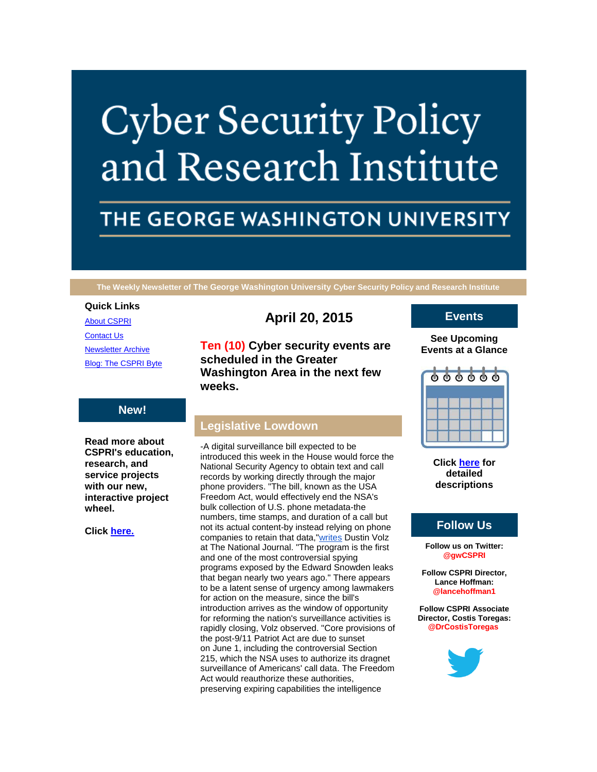# **Cyber Security Policy** and Research Institute

# THE GEORGE WASHINGTON UNIVERSITY

**The Weekly Newsletter of The George Washington University Cyber Security Policy and Research Institute**

#### **Quick Links**

[About CSPRI](http://r20.rs6.net/tn.jsp?f=0015P8sjGbGMb_gEm0meFEJ9HhhA5pQbdTIGzv9uzM2oCk_BRkroI1hqMn5aTrQQgE5551qkHIwQ1yMjr6McIJBplXXOn9nPzWCXDSZTJe0zE1PwhOF2GmTZ1x1BI1pCEpXxRUqvfh5FM4c2DgQENWvVFJwraSc0AnjzvvQgh1PJtfDTtP90DYB6G1hfbq8l1ZU&c=-h2_gzJbTyWXSXBJzmC6N0X1fnFHlmwPdi4OtLHh5c09eftbxLr3og==&ch=WnZ7ntSvwskfhKcMoX-Dlps8z4x0W0QeD2u6uc_koUoVvfSuaz1wtQ==) **[Contact Us](http://r20.rs6.net/tn.jsp?f=0015P8sjGbGMb_gEm0meFEJ9HhhA5pQbdTIGzv9uzM2oCk_BRkroI1hqMn5aTrQQgE5hTVKphufB8Q5KMXjrpkD0fBcgEtCzz6qXnviIsxeGERYcXVa5-mXzudA3fEObSMRvEnH1lQt6ViTYaSK5jelTHnMn6N8w_ZKcFW2ijTNI5JlkPiOryFzAJab_wkMzO6fIHIB2uWDXZ4=&c=-h2_gzJbTyWXSXBJzmC6N0X1fnFHlmwPdi4OtLHh5c09eftbxLr3og==&ch=WnZ7ntSvwskfhKcMoX-Dlps8z4x0W0QeD2u6uc_koUoVvfSuaz1wtQ==)** [Newsletter Archive](http://r20.rs6.net/tn.jsp?f=0015P8sjGbGMb_gEm0meFEJ9HhhA5pQbdTIGzv9uzM2oCk_BRkroI1hqMn5aTrQQgE5W2R_5qDJ0PZyFQ2DGAJn-Yf60c7mIYnw7wU_ZUq9et0LHdGXoaPr7OKxBzrfR8MdhWskWviDkvrXZFoLqhSW2gUiGqWVth3cH8B9xijmjFb_A_ViwSqZBztKMVreSWqJOwqfatv20MY=&c=-h2_gzJbTyWXSXBJzmC6N0X1fnFHlmwPdi4OtLHh5c09eftbxLr3og==&ch=WnZ7ntSvwskfhKcMoX-Dlps8z4x0W0QeD2u6uc_koUoVvfSuaz1wtQ==) [Blog: The CSPRI Byte](http://r20.rs6.net/tn.jsp?f=0015P8sjGbGMb_gEm0meFEJ9HhhA5pQbdTIGzv9uzM2oCk_BRkroI1hqMn5aTrQQgE55ZBYuCCEzM4YMjNrxd0Ql8Lye40tH0iegm5ibIo-ZDBQCEU1w1HKrs7MAKktU31ZWZKjYRMqM2npELoX1FTVDJVsye3xc5CPkVoRCeTBWCkFsgeBko64juQfMeE0ZBBt&c=-h2_gzJbTyWXSXBJzmC6N0X1fnFHlmwPdi4OtLHh5c09eftbxLr3og==&ch=WnZ7ntSvwskfhKcMoX-Dlps8z4x0W0QeD2u6uc_koUoVvfSuaz1wtQ==)

# **April 20, 2015**

**Ten (10) Cyber security events are scheduled in the Greater Washington Area in the next few weeks.**

# **New!**

**Read more about CSPRI's education, research, and service projects with our new, interactive project wheel.**

**Click [here.](http://r20.rs6.net/tn.jsp?f=0015P8sjGbGMb_gEm0meFEJ9HhhA5pQbdTIGzv9uzM2oCk_BRkroI1hqMn5aTrQQgE5551qkHIwQ1yMjr6McIJBplXXOn9nPzWCXDSZTJe0zE1PwhOF2GmTZ1x1BI1pCEpXxRUqvfh5FM4c2DgQENWvVFJwraSc0AnjzvvQgh1PJtfDTtP90DYB6G1hfbq8l1ZU&c=-h2_gzJbTyWXSXBJzmC6N0X1fnFHlmwPdi4OtLHh5c09eftbxLr3og==&ch=WnZ7ntSvwskfhKcMoX-Dlps8z4x0W0QeD2u6uc_koUoVvfSuaz1wtQ==)**

# **Legislative Lowdown**

-A digital surveillance bill expected to be introduced this week in the House would force the National Security Agency to obtain text and call records by working directly through the major phone providers. "The bill, known as the USA Freedom Act, would effectively end the NSA's bulk collection of U.S. phone metadata-the numbers, time stamps, and duration of a call but not its actual content-by instead relying on phone companies to retain that data,["writes](http://r20.rs6.net/tn.jsp?f=0015P8sjGbGMb_gEm0meFEJ9HhhA5pQbdTIGzv9uzM2oCk_BRkroI1hqLB02jSqZOB4XI0usGZIPDPwJOxQRuPmPQOPOHLf6XOd5uijilPXN80GrWuxnZbsVCyd74MgFQJSY43oCYjjoIzOhin9sgJfylRYQAYnEio_e7Tz_wNkIIl4jJPZV1EejXdRj1qtimrh2epcs7D-odQCUn4IuBm-BeMEhS_mpGZlFsi3y_SyCDH_KVyGbb2BVmXzZm3ZnQUTIxCp03WftDx6pXpMYg9vzQ==&c=-h2_gzJbTyWXSXBJzmC6N0X1fnFHlmwPdi4OtLHh5c09eftbxLr3og==&ch=WnZ7ntSvwskfhKcMoX-Dlps8z4x0W0QeD2u6uc_koUoVvfSuaz1wtQ==) Dustin Volz at The National Journal. "The program is the first and one of the most controversial spying programs exposed by the Edward Snowden leaks that began nearly two years ago." There appears to be a latent sense of urgency among lawmakers for action on the measure, since the bill's introduction arrives as the window of opportunity for reforming the nation's surveillance activities is rapidly closing, Volz observed. "Core provisions of the post-9/11 Patriot Act are due to sunset on June 1, including the controversial Section 215, which the NSA uses to authorize its dragnet surveillance of Americans' call data. The Freedom Act would reauthorize these authorities, preserving expiring capabilities the intelligence

# **Events**

#### **See Upcoming Events at a Glance**



**Click [here](http://r20.rs6.net/tn.jsp?f=0015P8sjGbGMb_gEm0meFEJ9HhhA5pQbdTIGzv9uzM2oCk_BRkroI1hqMn5aTrQQgE5-dIApjjl5mT-ZUjEnpMQEBVlFOL2NLZ0kj9wvFFrhpzjBNCN0f2zR5vDBvTQLwRA_HXovklweozP2wvHJXjiPhsFrYKGf2vxnG8oRGQDsc7yc--pXZhf9tESj_pOzRQ5bdk2SYTcfK_jHr-bYA_cuw==&c=-h2_gzJbTyWXSXBJzmC6N0X1fnFHlmwPdi4OtLHh5c09eftbxLr3og==&ch=WnZ7ntSvwskfhKcMoX-Dlps8z4x0W0QeD2u6uc_koUoVvfSuaz1wtQ==) for detailed descriptions**

# **Follow Us**

**Follow us on Twitter: @gwCSPRI**

**Follow CSPRI Director, Lance Hoffman: @lancehoffman1**

**Follow CSPRI Associate Director, Costis Toregas: @DrCostisToregas**

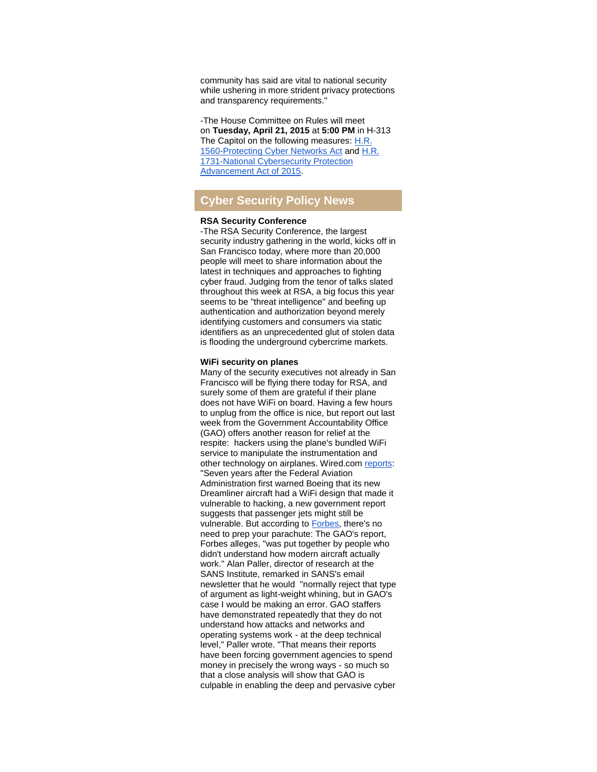community has said are vital to national security while ushering in more strident privacy protections and transparency requirements."

-The House Committee on Rules will meet on **Tuesday, April 21, 2015** at **5:00 PM** in H-313 The Capitol on the following measures: [H.R.](http://r20.rs6.net/tn.jsp?f=0015P8sjGbGMb_gEm0meFEJ9HhhA5pQbdTIGzv9uzM2oCk_BRkroI1hqLB02jSqZOB4HvM10iE0NP300vKLSm1MW_BUrnAd9FaB7XL0oultwxuoUGRPDTfD_gNnJfQpgPDy653VdImjaH_5y3BTo8KSys-weyJa7F2bp-jBAWscaNyVTjkB2VPsyFHM0-vK45u9RPA0UwexD1s=&c=-h2_gzJbTyWXSXBJzmC6N0X1fnFHlmwPdi4OtLHh5c09eftbxLr3og==&ch=WnZ7ntSvwskfhKcMoX-Dlps8z4x0W0QeD2u6uc_koUoVvfSuaz1wtQ==)  [1560-Protecting Cyber Networks Act](http://r20.rs6.net/tn.jsp?f=0015P8sjGbGMb_gEm0meFEJ9HhhA5pQbdTIGzv9uzM2oCk_BRkroI1hqLB02jSqZOB4HvM10iE0NP300vKLSm1MW_BUrnAd9FaB7XL0oultwxuoUGRPDTfD_gNnJfQpgPDy653VdImjaH_5y3BTo8KSys-weyJa7F2bp-jBAWscaNyVTjkB2VPsyFHM0-vK45u9RPA0UwexD1s=&c=-h2_gzJbTyWXSXBJzmC6N0X1fnFHlmwPdi4OtLHh5c09eftbxLr3og==&ch=WnZ7ntSvwskfhKcMoX-Dlps8z4x0W0QeD2u6uc_koUoVvfSuaz1wtQ==) and [H.R.](http://r20.rs6.net/tn.jsp?f=0015P8sjGbGMb_gEm0meFEJ9HhhA5pQbdTIGzv9uzM2oCk_BRkroI1hqLB02jSqZOB4f9YjMrPB6OBUAx5ELescXTaQppEe2bzR3ZdgowhlRaQbQbllOPIupSV8u3SH5BOEcxAo_Z6hwOH_hf3TjL0K5Q7mycmkhTL0Qe0pp0_nLZfhHh12oRRTVOAUHcT5mDrbUyQgBgg98ag=&c=-h2_gzJbTyWXSXBJzmC6N0X1fnFHlmwPdi4OtLHh5c09eftbxLr3og==&ch=WnZ7ntSvwskfhKcMoX-Dlps8z4x0W0QeD2u6uc_koUoVvfSuaz1wtQ==)  [1731-National Cybersecurity Protection](http://r20.rs6.net/tn.jsp?f=0015P8sjGbGMb_gEm0meFEJ9HhhA5pQbdTIGzv9uzM2oCk_BRkroI1hqLB02jSqZOB4f9YjMrPB6OBUAx5ELescXTaQppEe2bzR3ZdgowhlRaQbQbllOPIupSV8u3SH5BOEcxAo_Z6hwOH_hf3TjL0K5Q7mycmkhTL0Qe0pp0_nLZfhHh12oRRTVOAUHcT5mDrbUyQgBgg98ag=&c=-h2_gzJbTyWXSXBJzmC6N0X1fnFHlmwPdi4OtLHh5c09eftbxLr3og==&ch=WnZ7ntSvwskfhKcMoX-Dlps8z4x0W0QeD2u6uc_koUoVvfSuaz1wtQ==)  [Advancement Act of 2015.](http://r20.rs6.net/tn.jsp?f=0015P8sjGbGMb_gEm0meFEJ9HhhA5pQbdTIGzv9uzM2oCk_BRkroI1hqLB02jSqZOB4f9YjMrPB6OBUAx5ELescXTaQppEe2bzR3ZdgowhlRaQbQbllOPIupSV8u3SH5BOEcxAo_Z6hwOH_hf3TjL0K5Q7mycmkhTL0Qe0pp0_nLZfhHh12oRRTVOAUHcT5mDrbUyQgBgg98ag=&c=-h2_gzJbTyWXSXBJzmC6N0X1fnFHlmwPdi4OtLHh5c09eftbxLr3og==&ch=WnZ7ntSvwskfhKcMoX-Dlps8z4x0W0QeD2u6uc_koUoVvfSuaz1wtQ==)

# **Cyber Security Policy News**

#### **RSA Security Conference**

-The RSA Security Conference, the largest security industry gathering in the world, kicks off in San Francisco today, where more than 20,000 people will meet to share information about the latest in techniques and approaches to fighting cyber fraud. Judging from the tenor of talks slated throughout this week at RSA, a big focus this year seems to be "threat intelligence" and beefing up authentication and authorization beyond merely identifying customers and consumers via static identifiers as an unprecedented glut of stolen data is flooding the underground cybercrime markets.

#### **WiFi security on planes**

Many of the security executives not already in San Francisco will be flying there today for RSA, and surely some of them are grateful if their plane does not have WiFi on board. Having a few hours to unplug from the office is nice, but report out last week from the Government Accountability Office (GAO) offers another reason for relief at the respite: hackers using the plane's bundled WiFi service to manipulate the instrumentation and other technology on airplanes. Wired.com [reports:](http://r20.rs6.net/tn.jsp?f=0015P8sjGbGMb_gEm0meFEJ9HhhA5pQbdTIGzv9uzM2oCk_BRkroI1hqLB02jSqZOB4_BymesV49lP1owUnzffGTgybWe2uncxQ6Y-cojtz9qJTUgusVTuO1UNAYpe0emi9zzCPHoq_xAgLKPlZ46daNgSlH4jctAE6D78aHSC1y6dKCAnhWnBFz6kcKYimgOcMsgwzZgMQ5ya_q4QExWD3sdNc98Tn7JzTip1NjDrNUv_xEjMPDKkxyQ==&c=-h2_gzJbTyWXSXBJzmC6N0X1fnFHlmwPdi4OtLHh5c09eftbxLr3og==&ch=WnZ7ntSvwskfhKcMoX-Dlps8z4x0W0QeD2u6uc_koUoVvfSuaz1wtQ==) "Seven years after the Federal Aviation Administration first warned Boeing that its new Dreamliner aircraft had a WiFi design that made it vulnerable to hacking, a new government report suggests that passenger jets might still be vulnerable. But according to [Forbes,](http://r20.rs6.net/tn.jsp?f=0015P8sjGbGMb_gEm0meFEJ9HhhA5pQbdTIGzv9uzM2oCk_BRkroI1hqLB02jSqZOB4--ou086snt1NEa1gBL7VklSxAKJmjZ094CzClu9s-WCoysYm1SyA2PeXhzWjg2ZVHHMVpP6NNQUfWMldWwl4GYMcEpTfhWLvOCeH1e24zXy0HG0jO7Li_QiG6Zg3OWVJscz1SSy6mVQeQz1jFtiXzWSePx8Vfhesqou5ada37rVrFHJwQYJGi2Q8RWHeQwfCToCWd-DsMwcjoxoNmJ7C_faiAhMBhCXa8uclAEPCCc8=&c=-h2_gzJbTyWXSXBJzmC6N0X1fnFHlmwPdi4OtLHh5c09eftbxLr3og==&ch=WnZ7ntSvwskfhKcMoX-Dlps8z4x0W0QeD2u6uc_koUoVvfSuaz1wtQ==) there's no need to prep your parachute: The GAO's report, Forbes alleges, "was put together by people who didn't understand how modern aircraft actually work." Alan Paller, director of research at the SANS Institute, remarked in SANS's email newsletter that he would "normally reject that type of argument as light-weight whining, but in GAO's case I would be making an error. GAO staffers have demonstrated repeatedly that they do not understand how attacks and networks and operating systems work - at the deep technical level," Paller wrote. "That means their reports have been forcing government agencies to spend money in precisely the wrong ways - so much so that a close analysis will show that GAO is culpable in enabling the deep and pervasive cyber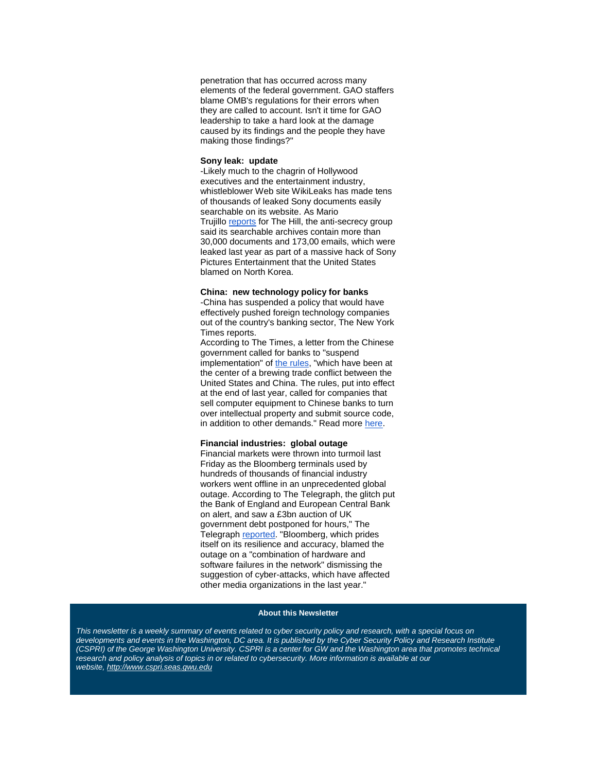penetration that has occurred across many elements of the federal government. GAO staffers blame OMB's regulations for their errors when they are called to account. Isn't it time for GAO leadership to take a hard look at the damage caused by its findings and the people they have making those findings?"

#### **Sony leak: update**

-Likely much to the chagrin of Hollywood executives and the entertainment industry, whistleblower Web site WikiLeaks has made tens of thousands of leaked Sony documents easily searchable on its website. As Mario Trujillo [reports](http://r20.rs6.net/tn.jsp?f=0015P8sjGbGMb_gEm0meFEJ9HhhA5pQbdTIGzv9uzM2oCk_BRkroI1hqLB02jSqZOB4gGjfcNfGelH72pufBhYQVNiFES1mBS5sZR00T6PbiTXF9jQ2LM14qQDG0dWcNd1x2P2UrUKcMzzOH2wtWfRfm8K_KN_wdeDL2hQOmyb5PTPpZ65nL6Da-LHIvBOen-zfC_rI7kpfLcr5eR0MohILd7RooTJaJeLM2OehE71kuLy5Qc67853TqPtQriDkAzvCpHZZUsJtbTs=&c=-h2_gzJbTyWXSXBJzmC6N0X1fnFHlmwPdi4OtLHh5c09eftbxLr3og==&ch=WnZ7ntSvwskfhKcMoX-Dlps8z4x0W0QeD2u6uc_koUoVvfSuaz1wtQ==) for The Hill, the anti-secrecy group said its searchable archives contain more than 30,000 documents and 173,00 emails, which were leaked last year as part of a massive hack of Sony Pictures Entertainment that the United States blamed on North Korea.

#### **China: new technology policy for banks**

-China has suspended a policy that would have effectively pushed foreign technology companies out of the country's banking sector, The New York Times reports.

According to The Times, a letter from the Chinese government called for banks to "suspend implementation" of [the rules,](http://r20.rs6.net/tn.jsp?f=0015P8sjGbGMb_gEm0meFEJ9HhhA5pQbdTIGzv9uzM2oCk_BRkroI1hqLB02jSqZOB4yoE2I-xVatzGc1APXj5xc1dKvOjjz7FWvvREd7GCORNuI8qnvoQrDAXIzo2GWfeL8Rei1KBEU2f74Q6MOeaonSAmkSoWKQ2B9toyHDmcEwFSp7pFkWsJk9t4Lnx2JXFc9UrC47Xh_xnuzj4yQdKUlgQnjwaW_A6hZC7aVfiI_YsxMuzjAyUPwYBElfZbia9wKHi4eHjvl2OsDxKgKn_bP2KQ2W-Onh8p1qzyTTEQjmk=&c=-h2_gzJbTyWXSXBJzmC6N0X1fnFHlmwPdi4OtLHh5c09eftbxLr3og==&ch=WnZ7ntSvwskfhKcMoX-Dlps8z4x0W0QeD2u6uc_koUoVvfSuaz1wtQ==) "which have been at the center of a brewing trade conflict between the United States and China. The rules, put into effect at the end of last year, called for companies that sell computer equipment to Chinese banks to turn over intellectual property and submit source code, in addition to other demands." Read more [here.](http://r20.rs6.net/tn.jsp?f=0015P8sjGbGMb_gEm0meFEJ9HhhA5pQbdTIGzv9uzM2oCk_BRkroI1hqLB02jSqZOB40rSlB0OhR8urmk8c40bxRot4udh7a1qAlDTCjlG0-hheoOLSMcHq__aq4mjVwFB1RUMq0Iq6JDcqf-yDoddszLiakec-uZ8POaZI5QZvkfiVMhxg-P2Hq5NfoJCYViLU9vMCUHF5Pi_YVfjJdGdGeZGfdqiw3KG1S7XjhxXq7CoNUw58FfBw68mN69lnDv80pqZiOmQ5rLTDmsSoCTq9qf723Ix2kc8ds4CLf_XrSqcmACxGkgOWXkWhUuEn98yV&c=-h2_gzJbTyWXSXBJzmC6N0X1fnFHlmwPdi4OtLHh5c09eftbxLr3og==&ch=WnZ7ntSvwskfhKcMoX-Dlps8z4x0W0QeD2u6uc_koUoVvfSuaz1wtQ==)

## **Financial industries: global outage**

Financial markets were thrown into turmoil last Friday as the Bloomberg terminals used by hundreds of thousands of financial industry workers went offline in an unprecedented global outage. According to The Telegraph, the glitch put the Bank of England and European Central Bank on alert, and saw a £3bn auction of UK government debt postponed for hours," The Telegraph [reported.](http://r20.rs6.net/tn.jsp?f=0015P8sjGbGMb_gEm0meFEJ9HhhA5pQbdTIGzv9uzM2oCk_BRkroI1hqLB02jSqZOB4x5HEAmNhk1OyPQZH53Tp4-0EExgDsqMY7sd-kVxEHalCOWhY1E4-DiCrfuVmkU-R1Yg2yJHNYgYhEZkbjYWAvtfjfwzZa1EzBUph5ctdtbkxFS6BCzbIRjG9wqM0eP3FO7IcD7d_1c15gNGAUxJ_YyaYYYOdegyUeVOIP2tG_NapANN22Y2I0voOhonB1Z-fJ5xsGFkvt3y1e2bX3FpQNnj8hkuN9msxQkli-_d4iT0kAXb2fQJc7pChOv_olJtNwLBjrK2GlaP_usFUUiqLzu9aj4F1XadeEdMKi1QWn5r7USkLIBZMwA==&c=-h2_gzJbTyWXSXBJzmC6N0X1fnFHlmwPdi4OtLHh5c09eftbxLr3og==&ch=WnZ7ntSvwskfhKcMoX-Dlps8z4x0W0QeD2u6uc_koUoVvfSuaz1wtQ==) "Bloomberg, which prides itself on its resilience and accuracy, blamed the outage on a "combination of hardware and software failures in the network" dismissing the suggestion of cyber-attacks, which have affected other media organizations in the last year."

#### **About this Newsletter**

This newsletter is a weekly summary of events related to cyber security policy and research, with a special focus on *developments and events in the Washington, DC area. It is published by the Cyber Security Policy and Research Institute (CSPRI)* of the George Washington University. CSPRI is a center for GW and the Washington area that promotes technical *research and policy analysis of topics in or related to cybersecurity. More information is available at our website, [http://www.cspri.seas.gwu.edu](http://r20.rs6.net/tn.jsp?f=0015P8sjGbGMb_gEm0meFEJ9HhhA5pQbdTIGzv9uzM2oCk_BRkroI1hqLU4pV4AptmQjdmFMwwhgxCKtTJ1AFDlywvEScjNE6FAzIupY7t49T-3RQBxGOGas_6_ZLQyqHTky0vEBRHbL7cRcng0Jtk1oqcQ1eZrUZpnLgBMcJD-9AmhMvcOMD8qtQ==&c=-h2_gzJbTyWXSXBJzmC6N0X1fnFHlmwPdi4OtLHh5c09eftbxLr3og==&ch=WnZ7ntSvwskfhKcMoX-Dlps8z4x0W0QeD2u6uc_koUoVvfSuaz1wtQ==)*